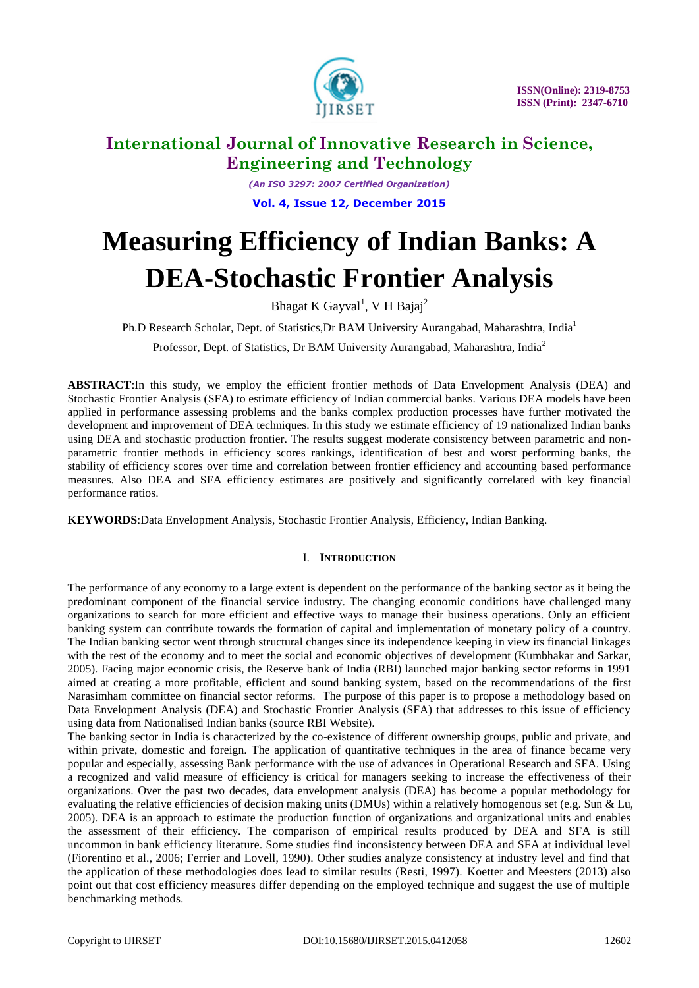

*(An ISO 3297: 2007 Certified Organization)* **Vol. 4, Issue 12, December 2015**

# **Measuring Efficiency of Indian Banks: A DEA-Stochastic Frontier Analysis**

Bhagat K Gayval<sup>1</sup>, V H Bajaj<sup>2</sup>

Ph.D Research Scholar, Dept. of Statistics,Dr BAM University Aurangabad, Maharashtra, India<sup>1</sup>

Professor, Dept. of Statistics, Dr BAM University Aurangabad, Maharashtra, India<sup>2</sup>

**ABSTRACT**:In this study, we employ the efficient frontier methods of Data Envelopment Analysis (DEA) and Stochastic Frontier Analysis (SFA) to estimate efficiency of Indian commercial banks. Various DEA models have been applied in performance assessing problems and the banks complex production processes have further motivated the development and improvement of DEA techniques. In this study we estimate efficiency of 19 nationalized Indian banks using DEA and stochastic production frontier. The results suggest moderate consistency between parametric and nonparametric frontier methods in efficiency scores rankings, identification of best and worst performing banks, the stability of efficiency scores over time and correlation between frontier efficiency and accounting based performance measures. Also DEA and SFA efficiency estimates are positively and significantly correlated with key financial performance ratios.

**KEYWORDS**:Data Envelopment Analysis, Stochastic Frontier Analysis, Efficiency, Indian Banking.

# I. **INTRODUCTION**

The performance of any economy to a large extent is dependent on the performance of the banking sector as it being the predominant component of the financial service industry. The changing economic conditions have challenged many organizations to search for more efficient and effective ways to manage their business operations. Only an efficient banking system can contribute towards the formation of capital and implementation of monetary policy of a country. The Indian banking sector went through structural changes since its independence keeping in view its financial linkages with the rest of the economy and to meet the social and economic objectives of development (Kumbhakar and Sarkar, 2005). Facing major economic crisis, the Reserve bank of India (RBI) launched major banking sector reforms in 1991 aimed at creating a more profitable, efficient and sound banking system, based on the recommendations of the first Narasimham committee on financial sector reforms. The purpose of this paper is to propose a methodology based on Data Envelopment Analysis (DEA) and Stochastic Frontier Analysis (SFA) that addresses to this issue of efficiency using data from Nationalised Indian banks (source RBI Website).

The banking sector in India is characterized by the co-existence of different ownership groups, public and private, and within private, domestic and foreign. The application of quantitative techniques in the area of finance became very popular and especially, assessing Bank performance with the use of advances in Operational Research and SFA. Using a recognized and valid measure of efficiency is critical for managers seeking to increase the effectiveness of their organizations. Over the past two decades, data envelopment analysis (DEA) has become a popular methodology for evaluating the relative efficiencies of decision making units (DMUs) within a relatively homogenous set (e.g. Sun & Lu, 2005). DEA is an approach to estimate the production function of organizations and organizational units and enables the assessment of their efficiency. The comparison of empirical results produced by DEA and SFA is still uncommon in bank efficiency literature. Some studies find inconsistency between DEA and SFA at individual level (Fiorentino et al., 2006; Ferrier and Lovell, 1990). Other studies analyze consistency at industry level and find that the application of these methodologies does lead to similar results (Resti, 1997). Koetter and Meesters (2013) also point out that cost efficiency measures differ depending on the employed technique and suggest the use of multiple benchmarking methods.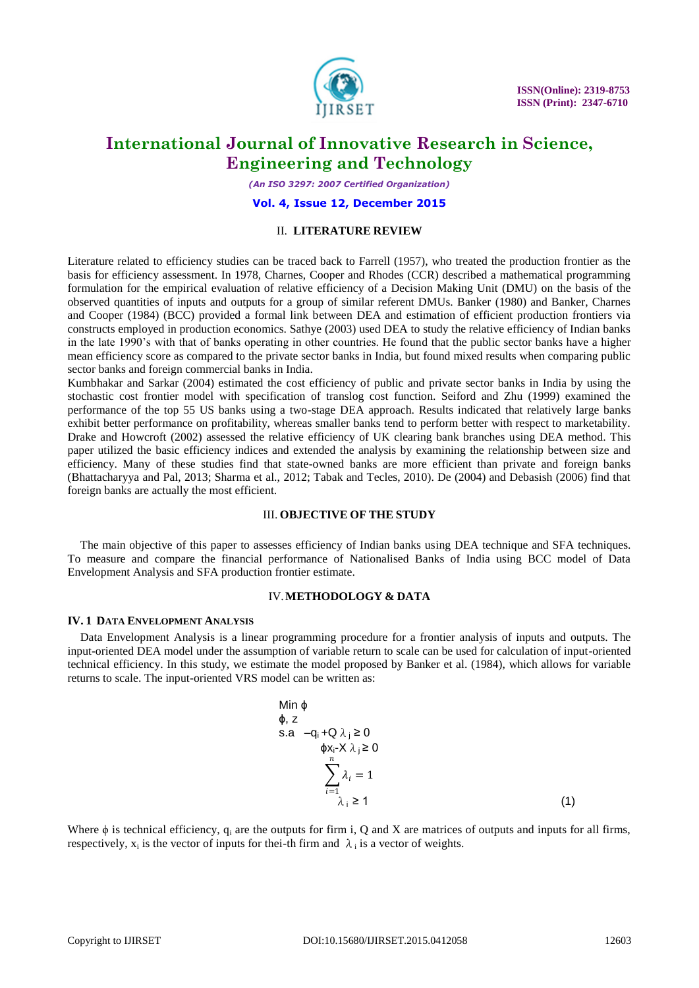

*(An ISO 3297: 2007 Certified Organization)*

#### **Vol. 4, Issue 12, December 2015**

### II. **LITERATURE REVIEW**

Literature related to efficiency studies can be traced back to Farrell (1957), who treated the production frontier as the basis for efficiency assessment. In 1978, Charnes, Cooper and Rhodes (CCR) described a mathematical programming formulation for the empirical evaluation of relative efficiency of a Decision Making Unit (DMU) on the basis of the observed quantities of inputs and outputs for a group of similar referent DMUs. Banker (1980) and Banker, Charnes and Cooper (1984) (BCC) provided a formal link between DEA and estimation of efficient production frontiers via constructs employed in production economics. Sathye (2003) used DEA to study the relative efficiency of Indian banks in the late 1990's with that of banks operating in other countries. He found that the public sector banks have a higher mean efficiency score as compared to the private sector banks in India, but found mixed results when comparing public sector banks and foreign commercial banks in India.

Kumbhakar and Sarkar (2004) estimated the cost efficiency of public and private sector banks in India by using the stochastic cost frontier model with specification of translog cost function. Seiford and Zhu (1999) examined the performance of the top 55 US banks using a two-stage DEA approach. Results indicated that relatively large banks exhibit better performance on profitability, whereas smaller banks tend to perform better with respect to marketability. Drake and Howcroft (2002) assessed the relative efficiency of UK clearing bank branches using DEA method. This paper utilized the basic efficiency indices and extended the analysis by examining the relationship between size and efficiency. Many of these studies find that state-owned banks are more efficient than private and foreign banks (Bhattacharyya and Pal, 2013; Sharma et al., 2012; Tabak and Tecles, 2010). De (2004) and Debasish (2006) find that foreign banks are actually the most efficient.

### III. **OBJECTIVE OF THE STUDY**

The main objective of this paper to assesses efficiency of Indian banks using DEA technique and SFA techniques. To measure and compare the financial performance of Nationalised Banks of India using BCC model of Data Envelopment Analysis and SFA production frontier estimate.

### IV.**METHODOLOGY & DATA**

#### **IV. 1 DATA ENVELOPMENT ANALYSIS**

Data Envelopment Analysis is a linear programming procedure for a frontier analysis of inputs and outputs. The input-oriented DEA model under the assumption of variable return to scale can be used for calculation of input-oriented technical efficiency. In this study, we estimate the model proposed by Banker et al. (1984), which allows for variable returns to scale. The input-oriented VRS model can be written as:

Min 
$$
\phi
$$
  
\n $\phi$ , z  
\ns.a  $-q_i + Q \lambda_j \ge 0$   
\n $\phi x_i - X \lambda_j \ge 0$   
\n $\sum_{i=1}^n \lambda_i = 1$   
\n $\lambda_i \ge 1$  (1)

Where  $\phi$  is technical efficiency, q<sub>i</sub> are the outputs for firm i, Q and X are matrices of outputs and inputs for all firms, respectively,  $x_i$  is the vector of inputs for thei-th firm and  $\lambda_i$  is a vector of weights.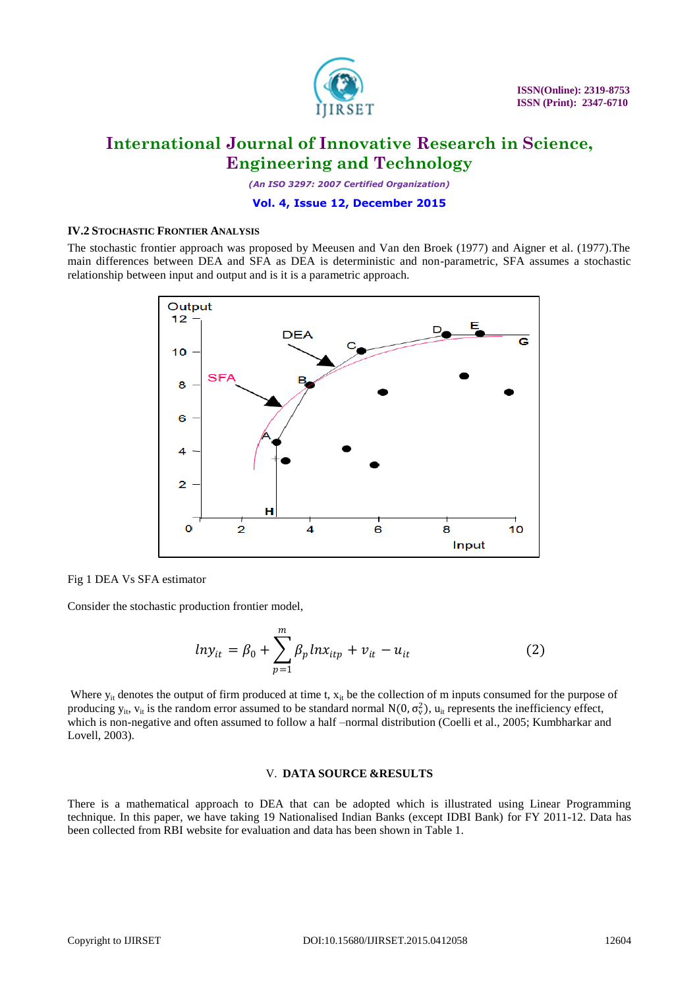

*(An ISO 3297: 2007 Certified Organization)*

### **Vol. 4, Issue 12, December 2015**

### **IV.2 STOCHASTIC FRONTIER ANALYSIS**

The stochastic frontier approach was proposed by Meeusen and Van den Broek (1977) and Aigner et al. (1977).The main differences between DEA and SFA as DEA is deterministic and non-parametric, SFA assumes a stochastic relationship between input and output and is it is a parametric approach.



Fig 1 DEA Vs SFA estimator

Consider the stochastic production frontier model,

$$
ln y_{it} = \beta_0 + \sum_{p=1}^{m} \beta_p ln x_{itp} + v_{it} - u_{it}
$$
 (2)

Where  $y_{it}$  denotes the output of firm produced at time t,  $x_{it}$  be the collection of m inputs consumed for the purpose of producing  $y_{it}$ ,  $v_{it}$  is the random error assumed to be standard normal  $N(0, \sigma_v^2)$ ,  $u_{it}$  represents the inefficiency effect, which is non-negative and often assumed to follow a half –normal distribution (Coelli et al., 2005; Kumbharkar and Lovell, 2003).

#### V. **DATA SOURCE &RESULTS**

There is a mathematical approach to DEA that can be adopted which is illustrated using Linear Programming technique. In this paper, we have taking 19 Nationalised Indian Banks (except IDBI Bank) for FY 2011-12. Data has been collected from RBI website for evaluation and data has been shown in Table 1.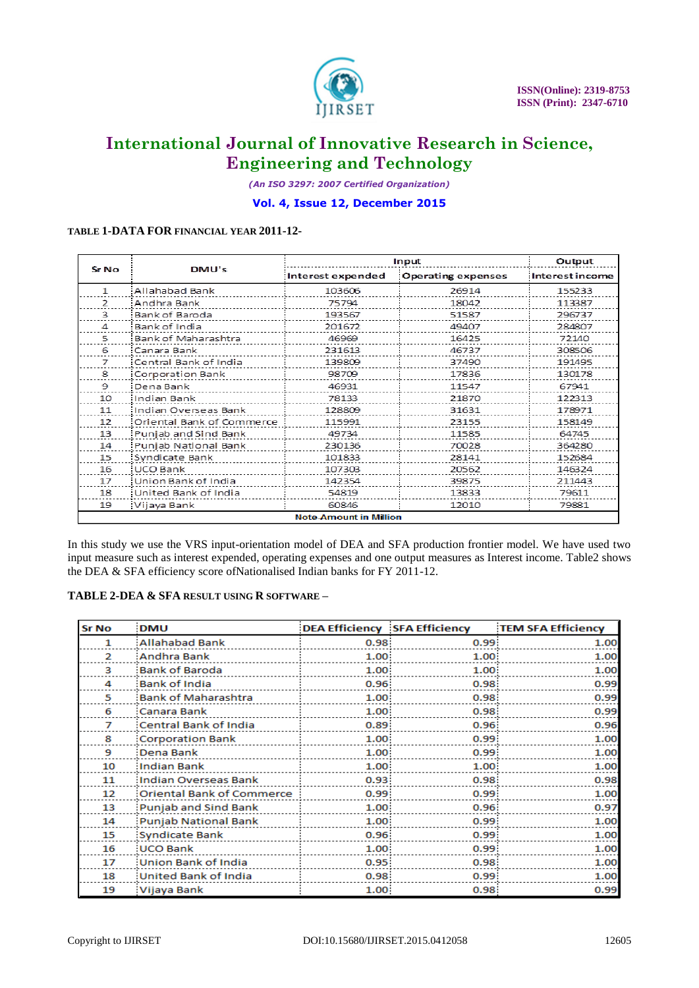

*(An ISO 3297: 2007 Certified Organization)*

### **Vol. 4, Issue 12, December 2015**

### **TABLE 1-DATA FOR FINANCIAL YEAR 2011-12-**

| Sr No                         | DMU's                     | Input             |                           | Output          |  |
|-------------------------------|---------------------------|-------------------|---------------------------|-----------------|--|
|                               |                           | Interest expended | <b>Operating expenses</b> | Interest income |  |
| 1                             | Allahabad Bank            | 103606            | 26914                     | 155233          |  |
| $\overline{ }$                | :Andhra Bank              | 75794             | 18042                     | 113387          |  |
| 3                             | Bank of Baroda            | 193567            | 51587                     | 296737          |  |
| 4                             | Bank of India             | 201672            | 49407                     | 284807          |  |
| 5.                            | Bank of Maharashtra       | 46969             | 16425                     | 72140           |  |
| 6                             | :Canara Bank              | 231613            | 46737                     | 308506          |  |
| 7                             | Central Bank of India     | 139809            | 37490                     | 191495          |  |
| 8                             | Corporation Bank          | 98709             | 17836                     | 130178          |  |
| 9                             | Dena Bank                 | 46931             | 11547                     | 67941           |  |
| 10                            | Indian Bank               | 78133             | 21870                     | 122313          |  |
| 11                            | Indian Overseas Bank      | 128809            | 31631                     | 178971          |  |
| 12                            | Oriental Bank of Commerce | 115991            | 23155                     | 158149          |  |
| 13                            | Punjab and Sind Bank      | 49734             | 11585                     | 64745           |  |
| 14                            | Punjab National Bank      | 230136            | 70028                     | 364280          |  |
| 15                            | Syndicate Bank            | 101833            | 28141                     | 152684          |  |
| 16                            | UCO Bank                  | 107303            | 20562                     | 146324          |  |
| 17                            | Union Bank of India       | 142354            | 39875                     | 211443          |  |
| 18                            | United Bank of India      | 54819             | 13833                     | 79611           |  |
| 19                            | Vijaya Bank               | 60846             | 12010                     | 79881           |  |
| <b>Note-Amount in Million</b> |                           |                   |                           |                 |  |

In this study we use the VRS input-orientation model of DEA and SFA production frontier model. We have used two input measure such as interest expended, operating expenses and one output measures as Interest income. Table2 shows the DEA & SFA efficiency score ofNationalised Indian banks for FY 2011-12.

### **TABLE 2-DEA & SFA RESULT USING R SOFTWARE –**

| <b>Sr No</b> | <b>DMU</b>                 | DEA Efficiency SFA Efficiency |                   | <b>TEM SFA Efficiency</b> |
|--------------|----------------------------|-------------------------------|-------------------|---------------------------|
| 1.           | Allahabad Bank             | 0.98 <sup>1</sup>             | 0.99.             | 1.00                      |
| 2            | :Andhra Bank               | 1.00                          | 1.00              | 1.00                      |
| з            | Bank of Baroda             | 1.00                          | 1.00              | 1.00                      |
| 4            | Bank of India              | 0.96 <sub>1</sub>             | 0.98              | 0.99                      |
| 5            | Bank of Maharashtra        | 1.00                          | 0.98 <sub>1</sub> | 0.99                      |
| 6            | :Canara Bank               | 1.00                          | 0.98.             | 0.99                      |
| 7            | Central Bank of India      | 0.89.                         | 0.96 <sub>1</sub> | 0.96                      |
| 8            | Corporation Bank           | 1.00                          | 0.99 <sub>1</sub> | 1.00                      |
| 9            | :Dena Bank                 | 1.00                          | 0.99 <sub>1</sub> | 1.00                      |
| 10           | <b>Indian Bank</b>         | 1.00                          | 1.00              | 1.00                      |
| $11\,$       | Indian Overseas Bank       | 0.93 <sub>1</sub>             | 0.98.             | 0.98                      |
| 12           | Oriental Bank of Commerce: | 0.99 <sub>1</sub>             | 0.99 <sub>1</sub> | 1.00                      |
| 13           | :Punjab and Sind Bank      | 1.00                          | 0.96 <sub>1</sub> | 0.97                      |
| 14           | :Punjab National Bank      | 1.00                          | 0.99 <sub>1</sub> | 1.00                      |
| 15           | :Syndicate Bank            | 0.96 <sub>1</sub>             | 0.99.             | 1.00                      |
| 16           | UCO Bank                   | 1.00                          | 0.99.             | 1.00                      |
| 17           | :Union Bank of India       | 0.95 <sub>1</sub>             | 0.98 <sub>1</sub> | 1.00                      |
| 18           | United Bank of India       | 0.98 <sub>1</sub>             | 0.99 <sub>1</sub> | 1.00                      |
| 19           | Vijaya Bank                | 1.00                          | 0.98 <sub>1</sub> | 0.99                      |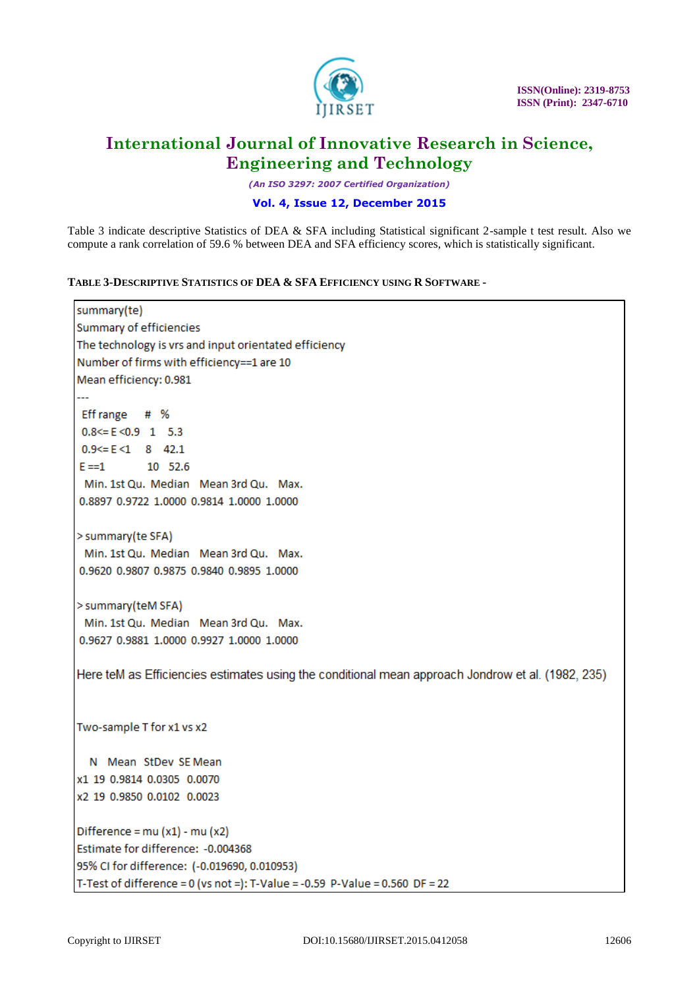

*(An ISO 3297: 2007 Certified Organization)*

## **Vol. 4, Issue 12, December 2015**

Table 3 indicate descriptive Statistics of DEA & SFA including Statistical significant 2-sample t test result. Also we compute a rank correlation of 59.6 % between DEA and SFA efficiency scores, which is statistically significant.

**TABLE 3-DESCRIPTIVE STATISTICS OF DEA & SFA EFFICIENCY USING R SOFTWARE -**

```
summary(te)
Summary of efficiencies
The technology is vrs and input orientated efficiency
Number of firms with efficiency==1 are 10
Mean efficiency: 0.981
Eff range # %
0.8 \leq E \leq 0.9 1 5.3
0.9 \leq E \leq 1 8 42.1
            10 52.6
E = 1Min. 1st Qu. Median Mean 3rd Qu. Max.
0.8897 0.9722 1.0000 0.9814 1.0000 1.0000
> summary(te SFA)
Min. 1st Qu. Median Mean 3rd Qu. Max.
0.9620 0.9807 0.9875 0.9840 0.9895 1.0000
> summary (teM SFA)
Min. 1st Qu. Median Mean 3rd Qu. Max.
0.9627 0.9881 1.0000 0.9927 1.0000 1.0000
Here teM as Efficiencies estimates using the conditional mean approach Jondrow et al. (1982, 235)
Two-sample T for x1 vs x2
  N Mean StDev SE Mean
x1 19 0.9814 0.0305 0.0070
x2 19 0.9850 0.0102 0.0023
Difference = mu(x1) - mu(x2)Estimate for difference: - 0.004368
95% CI for difference: (-0.019690, 0.010953)
T-Test of difference = 0 (vs not =): T-Value = -0.59 P-Value = 0.560 DF = 22
```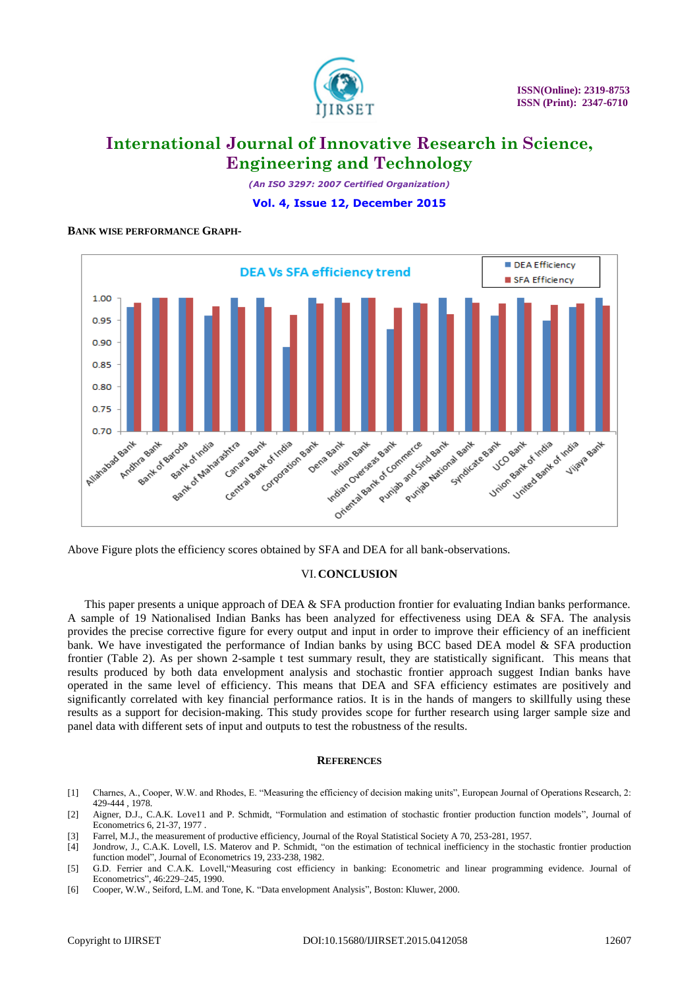

*(An ISO 3297: 2007 Certified Organization)* **Vol. 4, Issue 12, December 2015**

### **BANK WISE PERFORMANCE GRAPH-**



Above Figure plots the efficiency scores obtained by SFA and DEA for all bank-observations.

### VI.**CONCLUSION**

This paper presents a unique approach of DEA & SFA production frontier for evaluating Indian banks performance. A sample of 19 Nationalised Indian Banks has been analyzed for effectiveness using DEA & SFA. The analysis provides the precise corrective figure for every output and input in order to improve their efficiency of an inefficient bank. We have investigated the performance of Indian banks by using BCC based DEA model & SFA production frontier (Table 2). As per shown 2-sample t test summary result, they are statistically significant. This means that results produced by both data envelopment analysis and stochastic frontier approach suggest Indian banks have operated in the same level of efficiency. This means that DEA and SFA efficiency estimates are positively and significantly correlated with key financial performance ratios. It is in the hands of mangers to skillfully using these results as a support for decision-making. This study provides scope for further research using larger sample size and panel data with different sets of input and outputs to test the robustness of the results.

#### **REFERENCES**

- [1] Charnes, A., Cooper, W.W. and Rhodes, E. "Measuring the efficiency of decision making units", European Journal of Operations Research, 2: 429-444 , 1978.
- [2] Aigner, D.J., C.A.K. Love11 and P. Schmidt, "Formulation and estimation of stochastic frontier production function models", Journal of Econometrics 6, 21-37, 1977 .
- [3] Farrel, M.J., the measurement of productive efficiency, Journal of the Royal Statistical Society A 70, 253-281, 1957.
- [4] Jondrow, J., C.A.K. Lovell, I.S. Materov and P. Schmidt, "on the estimation of technical inefficiency in the stochastic frontier production function model", Journal of Econometrics 19, 233-238, 1982.
- [5] G.D. Ferrier and C.A.K. Lovell,"Measuring cost efficiency in banking: Econometric and linear programming evidence. Journal of Econometrics", 46:229–245, 1990.
- [6] Cooper, W.W., Seiford, L.M. and Tone, K. "Data envelopment Analysis", Boston: Kluwer, 2000.